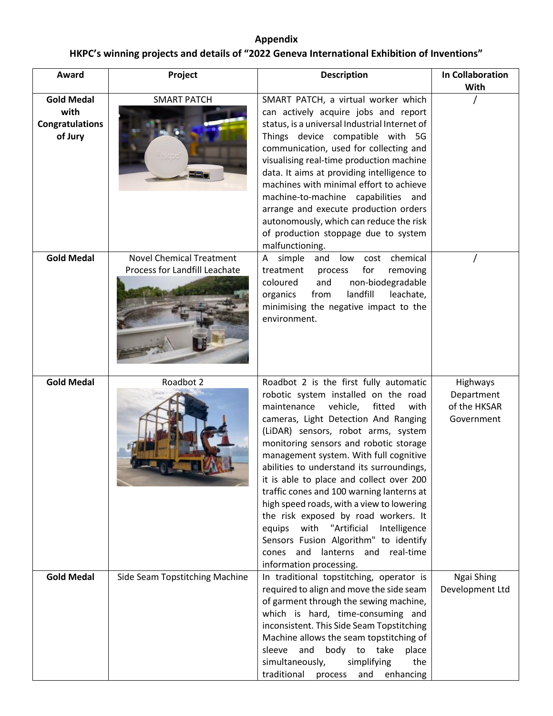## **Appendix HKPC's winning projects and details of "2022 Geneva International Exhibition of Inventions"**

| Award                                                          | Project                                                          | <b>Description</b>                                                                                                                                                                                                                                                                                                                                                                                                                                                                                                                                                                                                                                                                    | <b>In Collaboration</b><br>With                      |
|----------------------------------------------------------------|------------------------------------------------------------------|---------------------------------------------------------------------------------------------------------------------------------------------------------------------------------------------------------------------------------------------------------------------------------------------------------------------------------------------------------------------------------------------------------------------------------------------------------------------------------------------------------------------------------------------------------------------------------------------------------------------------------------------------------------------------------------|------------------------------------------------------|
| <b>Gold Medal</b><br>with<br><b>Congratulations</b><br>of Jury | <b>SMART PATCH</b><br>32 F                                       | SMART PATCH, a virtual worker which<br>can actively acquire jobs and report<br>status, is a universal Industrial Internet of<br>Things device compatible with 5G<br>communication, used for collecting and<br>visualising real-time production machine<br>data. It aims at providing intelligence to<br>machines with minimal effort to achieve<br>machine-to-machine capabilities and<br>arrange and execute production orders<br>autonomously, which can reduce the risk<br>of production stoppage due to system<br>malfunctioning.                                                                                                                                                 |                                                      |
| <b>Gold Medal</b>                                              | <b>Novel Chemical Treatment</b><br>Process for Landfill Leachate | A simple<br>and<br>low cost chemical<br>treatment<br>for<br>process<br>removing<br>and<br>non-biodegradable<br>coloured<br>organics<br>from<br>landfill<br>leachate,<br>minimising the negative impact to the<br>environment.                                                                                                                                                                                                                                                                                                                                                                                                                                                         |                                                      |
| <b>Gold Medal</b>                                              | Roadbot 2                                                        | Roadbot 2 is the first fully automatic<br>robotic system installed on the road<br>maintenance<br>vehicle, fitted<br>with<br>cameras, Light Detection And Ranging<br>(LiDAR) sensors, robot arms, system<br>monitoring sensors and robotic storage<br>management system. With full cognitive<br>abilities to understand its surroundings,<br>it is able to place and collect over 200<br>traffic cones and 100 warning lanterns at<br>high speed roads, with a view to lowering<br>the risk exposed by road workers. It<br>"Artificial<br>with<br>equips<br>Intelligence<br>Sensors Fusion Algorithm" to identify<br>and<br>lanterns and real-time<br>cones<br>information processing. | Highways<br>Department<br>of the HKSAR<br>Government |
| <b>Gold Medal</b>                                              | Side Seam Topstitching Machine                                   | In traditional topstitching, operator is<br>required to align and move the side seam<br>of garment through the sewing machine,<br>which is hard, time-consuming and<br>inconsistent. This Side Seam Topstitching<br>Machine allows the seam topstitching of<br>sleeve<br>and<br>body to take<br>place<br>simultaneously,<br>simplifying<br>the<br>traditional<br>process<br>and<br>enhancing                                                                                                                                                                                                                                                                                          | Ngai Shing<br>Development Ltd                        |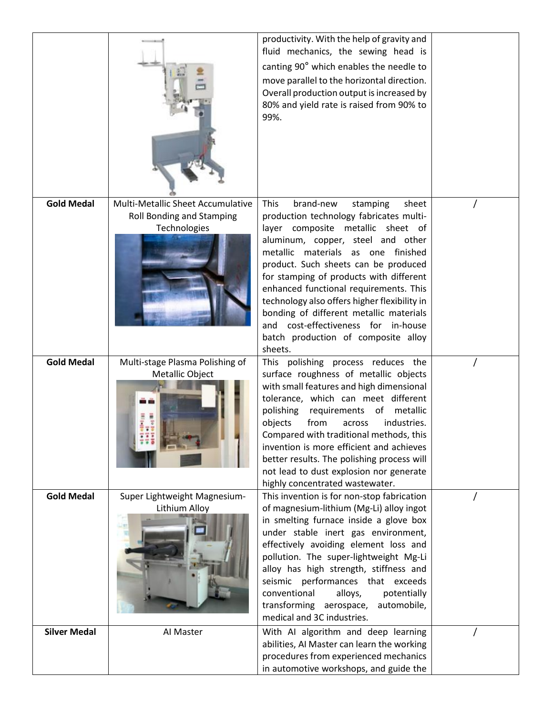|                     |                                                                                | productivity. With the help of gravity and<br>fluid mechanics, the sewing head is<br>canting 90° which enables the needle to<br>move parallel to the horizontal direction.<br>Overall production output is increased by<br>80% and yield rate is raised from 90% to<br>99%.                                                                                                                                                                                                                                                  |  |
|---------------------|--------------------------------------------------------------------------------|------------------------------------------------------------------------------------------------------------------------------------------------------------------------------------------------------------------------------------------------------------------------------------------------------------------------------------------------------------------------------------------------------------------------------------------------------------------------------------------------------------------------------|--|
| <b>Gold Medal</b>   | Multi-Metallic Sheet Accumulative<br>Roll Bonding and Stamping<br>Technologies | brand-new<br><b>This</b><br>stamping<br>sheet<br>production technology fabricates multi-<br>layer composite metallic sheet of<br>aluminum, copper, steel and other<br>metallic materials as one finished<br>product. Such sheets can be produced<br>for stamping of products with different<br>enhanced functional requirements. This<br>technology also offers higher flexibility in<br>bonding of different metallic materials<br>cost-effectiveness for in-house<br>and<br>batch production of composite alloy<br>sheets. |  |
| <b>Gold Medal</b>   | Multi-stage Plasma Polishing of<br>Metallic Object                             | This polishing process reduces the<br>surface roughness of metallic objects<br>with small features and high dimensional<br>tolerance, which can meet different<br>polishing<br>requirements<br>of<br>metallic<br>from<br>objects<br>industries.<br>across<br>Compared with traditional methods, this<br>invention is more efficient and achieves<br>better results. The polishing process will<br>not lead to dust explosion nor generate<br>highly concentrated wastewater.                                                 |  |
| <b>Gold Medal</b>   | Super Lightweight Magnesium-<br>Lithium Alloy                                  | This invention is for non-stop fabrication<br>of magnesium-lithium (Mg-Li) alloy ingot<br>in smelting furnace inside a glove box<br>under stable inert gas environment,<br>effectively avoiding element loss and<br>pollution. The super-lightweight Mg-Li<br>alloy has high strength, stiffness and<br>seismic performances that exceeds<br>conventional<br>potentially<br>alloys,<br>transforming aerospace, automobile,<br>medical and 3C industries.                                                                     |  |
| <b>Silver Medal</b> | Al Master                                                                      | With AI algorithm and deep learning<br>abilities, AI Master can learn the working<br>procedures from experienced mechanics<br>in automotive workshops, and guide the                                                                                                                                                                                                                                                                                                                                                         |  |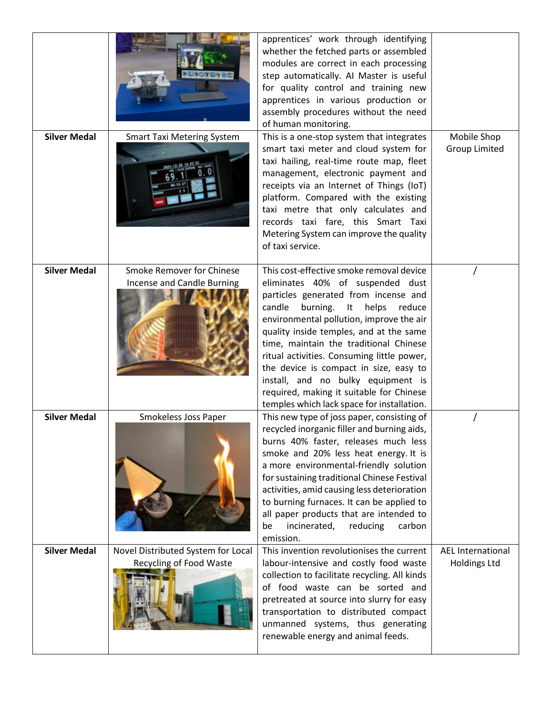| Smoke Remover for Chinese<br>Incense and Candle Burning<br>Smokeless Joss Paper | Metering System can improve the quality<br>of taxi service.<br>This cost-effective smoke removal device<br>eliminates 40% of suspended dust<br>particles generated from incense and<br>candle<br>burning.<br>It helps<br>reduce<br>environmental pollution, improve the air<br>quality inside temples, and at the same<br>time, maintain the traditional Chinese<br>ritual activities. Consuming little power,<br>the device is compact in size, easy to<br>install, and no bulky equipment is<br>required, making it suitable for Chinese<br>temples which lack space for installation. |                                                                                                                                                                                                                                                                                                                                       |
|---------------------------------------------------------------------------------|------------------------------------------------------------------------------------------------------------------------------------------------------------------------------------------------------------------------------------------------------------------------------------------------------------------------------------------------------------------------------------------------------------------------------------------------------------------------------------------------------------------------------------------------------------------------------------------|---------------------------------------------------------------------------------------------------------------------------------------------------------------------------------------------------------------------------------------------------------------------------------------------------------------------------------------|
|                                                                                 | This new type of joss paper, consisting of<br>recycled inorganic filler and burning aids,<br>burns 40% faster, releases much less<br>smoke and 20% less heat energy. It is<br>a more environmental-friendly solution                                                                                                                                                                                                                                                                                                                                                                     |                                                                                                                                                                                                                                                                                                                                       |
|                                                                                 | for sustaining traditional Chinese Festival<br>activities, amid causing less deterioration<br>to burning furnaces. It can be applied to<br>all paper products that are intended to<br>incinerated,<br>reducing<br>carbon<br>be<br>emission.                                                                                                                                                                                                                                                                                                                                              |                                                                                                                                                                                                                                                                                                                                       |
|                                                                                 | <b>Smart Taxi Metering System</b>                                                                                                                                                                                                                                                                                                                                                                                                                                                                                                                                                        | This is a one-stop system that integrates<br>smart taxi meter and cloud system for<br>taxi hailing, real-time route map, fleet<br>management, electronic payment and<br>receipts via an Internet of Things (IoT)<br>platform. Compared with the existing<br>taxi metre that only calculates and<br>records taxi fare, this Smart Taxi |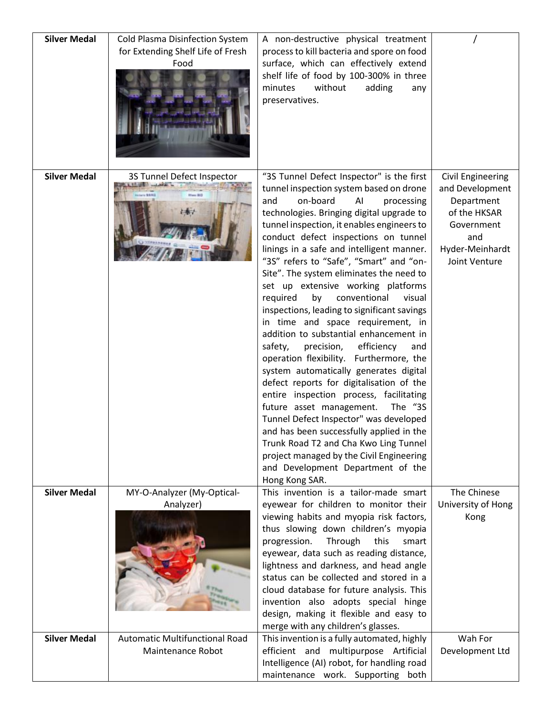| <b>Silver Medal</b> | Cold Plasma Disinfection System<br>for Extending Shelf Life of Fresh<br>Food | A non-destructive physical treatment<br>process to kill bacteria and spore on food<br>surface, which can effectively extend<br>shelf life of food by 100-300% in three<br>minutes<br>without<br>adding<br>any<br>preservatives.                                                                                                                                                                                                                                                                                                                                                                                                                                                                                                                                                                                                                                                                                                                                                                                                                                                                                       |                                                                                                                                    |
|---------------------|------------------------------------------------------------------------------|-----------------------------------------------------------------------------------------------------------------------------------------------------------------------------------------------------------------------------------------------------------------------------------------------------------------------------------------------------------------------------------------------------------------------------------------------------------------------------------------------------------------------------------------------------------------------------------------------------------------------------------------------------------------------------------------------------------------------------------------------------------------------------------------------------------------------------------------------------------------------------------------------------------------------------------------------------------------------------------------------------------------------------------------------------------------------------------------------------------------------|------------------------------------------------------------------------------------------------------------------------------------|
| <b>Silver Medal</b> | 3S Tunnel Defect Inspector                                                   | "3S Tunnel Defect Inspector" is the first<br>tunnel inspection system based on drone<br>on-board<br>and<br>ΑI<br>processing<br>technologies. Bringing digital upgrade to<br>tunnel inspection, it enables engineers to<br>conduct defect inspections on tunnel<br>linings in a safe and intelligent manner.<br>"3S" refers to "Safe", "Smart" and "on-<br>Site". The system eliminates the need to<br>set up extensive working platforms<br>required<br>by<br>conventional<br>visual<br>inspections, leading to significant savings<br>in time and space requirement, in<br>addition to substantial enhancement in<br>efficiency<br>precision,<br>safety,<br>and<br>operation flexibility. Furthermore, the<br>system automatically generates digital<br>defect reports for digitalisation of the<br>entire inspection process, facilitating<br>future asset management.<br>The "3S<br>Tunnel Defect Inspector" was developed<br>and has been successfully applied in the<br>Trunk Road T2 and Cha Kwo Ling Tunnel<br>project managed by the Civil Engineering<br>and Development Department of the<br>Hong Kong SAR. | <b>Civil Engineering</b><br>and Development<br>Department<br>of the HKSAR<br>Government<br>and<br>Hyder-Meinhardt<br>Joint Venture |
| <b>Silver Medal</b> | MY-O-Analyzer (My-Optical-<br>Analyzer)                                      | This invention is a tailor-made smart<br>eyewear for children to monitor their<br>viewing habits and myopia risk factors,<br>thus slowing down children's myopia<br>Through<br>progression.<br>this<br>smart<br>eyewear, data such as reading distance,<br>lightness and darkness, and head angle<br>status can be collected and stored in a<br>cloud database for future analysis. This<br>invention also adopts special hinge<br>design, making it flexible and easy to<br>merge with any children's glasses.                                                                                                                                                                                                                                                                                                                                                                                                                                                                                                                                                                                                       | The Chinese<br>University of Hong<br>Kong                                                                                          |
| <b>Silver Medal</b> | <b>Automatic Multifunctional Road</b><br>Maintenance Robot                   | This invention is a fully automated, highly<br>efficient and multipurpose Artificial<br>Intelligence (AI) robot, for handling road<br>maintenance work. Supporting both                                                                                                                                                                                                                                                                                                                                                                                                                                                                                                                                                                                                                                                                                                                                                                                                                                                                                                                                               | Wah For<br>Development Ltd                                                                                                         |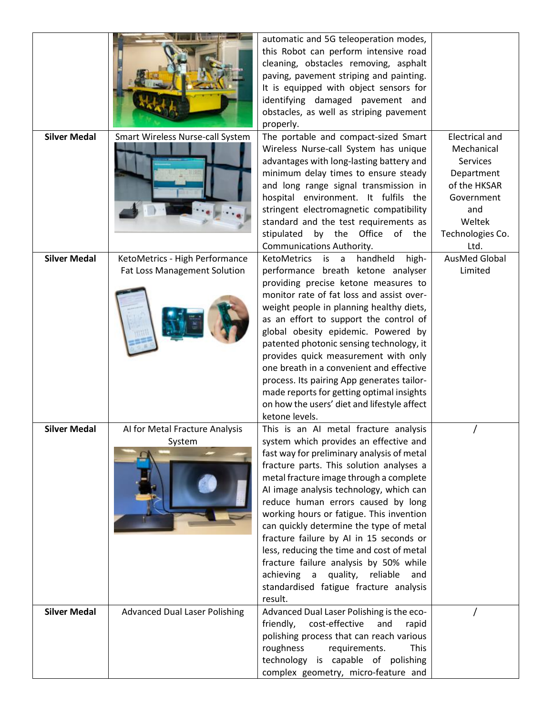| <b>Silver Medal</b> |                                                                | automatic and 5G teleoperation modes,<br>this Robot can perform intensive road<br>cleaning, obstacles removing, asphalt<br>paving, pavement striping and painting.<br>It is equipped with object sensors for<br>identifying damaged pavement and<br>obstacles, as well as striping pavement<br>properly.                                                                                                                                                                                                                                                                                                                          | Electrical and                                                                                                         |
|---------------------|----------------------------------------------------------------|-----------------------------------------------------------------------------------------------------------------------------------------------------------------------------------------------------------------------------------------------------------------------------------------------------------------------------------------------------------------------------------------------------------------------------------------------------------------------------------------------------------------------------------------------------------------------------------------------------------------------------------|------------------------------------------------------------------------------------------------------------------------|
|                     | Smart Wireless Nurse-call System                               | The portable and compact-sized Smart<br>Wireless Nurse-call System has unique<br>advantages with long-lasting battery and<br>minimum delay times to ensure steady<br>and long range signal transmission in<br>hospital environment. It fulfils the<br>stringent electromagnetic compatibility<br>standard and the test requirements as<br>stipulated<br>by the Office of the<br>Communications Authority.                                                                                                                                                                                                                         | Mechanical<br><b>Services</b><br>Department<br>of the HKSAR<br>Government<br>and<br>Weltek<br>Technologies Co.<br>Ltd. |
| <b>Silver Medal</b> | KetoMetrics - High Performance<br>Fat Loss Management Solution | KetoMetrics is a<br>handheld<br>high-<br>performance breath ketone analyser<br>providing precise ketone measures to<br>monitor rate of fat loss and assist over-<br>weight people in planning healthy diets,<br>as an effort to support the control of<br>global obesity epidemic. Powered by<br>patented photonic sensing technology, it<br>provides quick measurement with only<br>one breath in a convenient and effective<br>process. Its pairing App generates tailor-<br>made reports for getting optimal insights<br>on how the users' diet and lifestyle affect<br>ketone levels.                                         | <b>AusMed Global</b><br>Limited                                                                                        |
| <b>Silver Medal</b> | Al for Metal Fracture Analysis<br>System                       | This is an AI metal fracture analysis<br>system which provides an effective and<br>fast way for preliminary analysis of metal<br>fracture parts. This solution analyses a<br>metal fracture image through a complete<br>AI image analysis technology, which can<br>reduce human errors caused by long<br>working hours or fatigue. This invention<br>can quickly determine the type of metal<br>fracture failure by AI in 15 seconds or<br>less, reducing the time and cost of metal<br>fracture failure analysis by 50% while<br>achieving a<br>quality,<br>reliable<br>and<br>standardised fatigue fracture analysis<br>result. |                                                                                                                        |
| <b>Silver Medal</b> | <b>Advanced Dual Laser Polishing</b>                           | Advanced Dual Laser Polishing is the eco-<br>cost-effective<br>friendly,<br>and<br>rapid<br>polishing process that can reach various<br>roughness<br>requirements.<br><b>This</b><br>technology is capable of polishing<br>complex geometry, micro-feature and                                                                                                                                                                                                                                                                                                                                                                    |                                                                                                                        |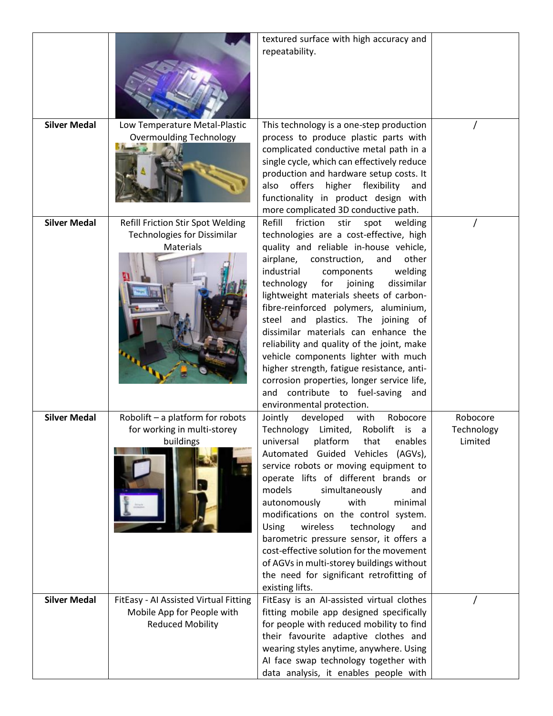|                     |                                                                                                | textured surface with high accuracy and<br>repeatability.                                                                                                                                                                                                                                                                                                                                                                                                                                                                                                                                                                                                                                |                                   |
|---------------------|------------------------------------------------------------------------------------------------|------------------------------------------------------------------------------------------------------------------------------------------------------------------------------------------------------------------------------------------------------------------------------------------------------------------------------------------------------------------------------------------------------------------------------------------------------------------------------------------------------------------------------------------------------------------------------------------------------------------------------------------------------------------------------------------|-----------------------------------|
| <b>Silver Medal</b> | Low Temperature Metal-Plastic<br><b>Overmoulding Technology</b>                                | This technology is a one-step production<br>process to produce plastic parts with<br>complicated conductive metal path in a<br>single cycle, which can effectively reduce<br>production and hardware setup costs. It<br>offers<br>higher<br>flexibility<br>also<br>and<br>functionality in product design with<br>more complicated 3D conductive path.                                                                                                                                                                                                                                                                                                                                   |                                   |
| <b>Silver Medal</b> | Refill Friction Stir Spot Welding<br><b>Technologies for Dissimilar</b><br>Materials           | Refill<br>friction<br>stir<br>spot<br>welding<br>technologies are a cost-effective, high<br>quality and reliable in-house vehicle,<br>airplane,<br>construction,<br>other<br>and<br>industrial<br>welding<br>components<br>technology<br>for joining<br>dissimilar<br>lightweight materials sheets of carbon-<br>fibre-reinforced polymers, aluminium,<br>steel and plastics. The joining of<br>dissimilar materials can enhance the<br>reliability and quality of the joint, make<br>vehicle components lighter with much<br>higher strength, fatigue resistance, anti-<br>corrosion properties, longer service life,<br>and contribute to fuel-saving and<br>environmental protection. |                                   |
| <b>Silver Medal</b> | Robolift - a platform for robots<br>for working in multi-storey<br>buildings                   | developed<br>Robocore<br>Jointly<br>with<br>Technology Limited,<br>Robolift is a<br>that<br>universal<br>platform<br>enables<br>Automated Guided Vehicles<br>(AGVs),<br>service robots or moving equipment to<br>operate lifts of different brands or<br>models<br>simultaneously<br>and<br>with<br>autonomously<br>minimal<br>modifications on the control system.<br>technology<br>wireless<br>Using<br>and<br>barometric pressure sensor, it offers a<br>cost-effective solution for the movement<br>of AGVs in multi-storey buildings without<br>the need for significant retrofitting of<br>existing lifts.                                                                         | Robocore<br>Technology<br>Limited |
| <b>Silver Medal</b> | FitEasy - Al Assisted Virtual Fitting<br>Mobile App for People with<br><b>Reduced Mobility</b> | FitEasy is an Al-assisted virtual clothes<br>fitting mobile app designed specifically<br>for people with reduced mobility to find<br>their favourite adaptive clothes and<br>wearing styles anytime, anywhere. Using<br>AI face swap technology together with<br>data analysis, it enables people with                                                                                                                                                                                                                                                                                                                                                                                   |                                   |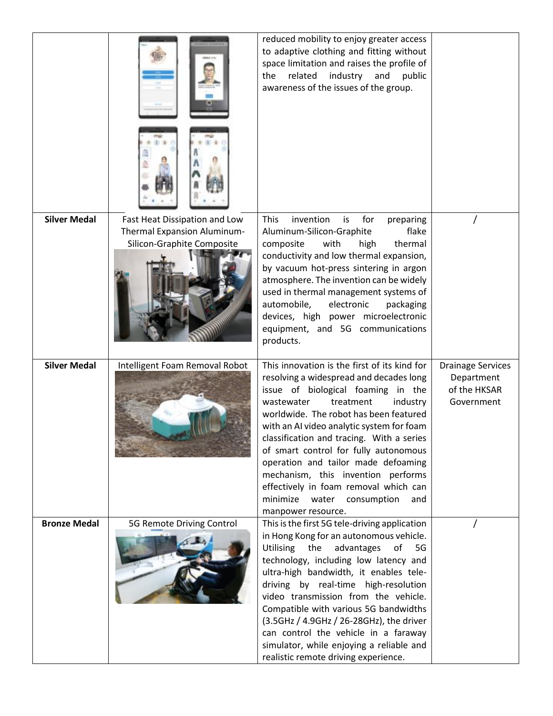|                     |                                | reduced mobility to enjoy greater access<br>to adaptive clothing and fitting without<br>space limitation and raises the profile of<br>related<br>industry<br>and<br>the<br>public<br>awareness of the issues of the group.                                                                                                                                                                                                                                                                                                         |                                                                      |
|---------------------|--------------------------------|------------------------------------------------------------------------------------------------------------------------------------------------------------------------------------------------------------------------------------------------------------------------------------------------------------------------------------------------------------------------------------------------------------------------------------------------------------------------------------------------------------------------------------|----------------------------------------------------------------------|
| <b>Silver Medal</b> | Fast Heat Dissipation and Low  | <b>This</b><br>invention<br>for                                                                                                                                                                                                                                                                                                                                                                                                                                                                                                    |                                                                      |
|                     | Thermal Expansion Aluminum-    | is<br>preparing<br>Aluminum-Silicon-Graphite<br>flake                                                                                                                                                                                                                                                                                                                                                                                                                                                                              |                                                                      |
|                     | Silicon-Graphite Composite     | composite<br>with<br>thermal<br>high                                                                                                                                                                                                                                                                                                                                                                                                                                                                                               |                                                                      |
|                     |                                | conductivity and low thermal expansion,<br>by vacuum hot-press sintering in argon<br>atmosphere. The invention can be widely<br>used in thermal management systems of<br>automobile,<br>electronic<br>packaging<br>devices, high power microelectronic<br>equipment, and 5G communications<br>products.                                                                                                                                                                                                                            |                                                                      |
| <b>Silver Medal</b> | Intelligent Foam Removal Robot | This innovation is the first of its kind for<br>resolving a widespread and decades long<br>issue of biological foaming in the<br>wastewater<br>treatment<br>industry<br>worldwide. The robot has been featured<br>with an AI video analytic system for foam<br>classification and tracing. With a series<br>of smart control for fully autonomous<br>operation and tailor made defoaming<br>mechanism, this invention performs<br>effectively in foam removal which can<br>minimize water consumption<br>and<br>manpower resource. | <b>Drainage Services</b><br>Department<br>of the HKSAR<br>Government |
| <b>Bronze Medal</b> | 5G Remote Driving Control      | This is the first 5G tele-driving application<br>in Hong Kong for an autonomous vehicle.<br>Utilising<br>the<br>advantages<br>of<br>5G<br>technology, including low latency and<br>ultra-high bandwidth, it enables tele-<br>driving by real-time high-resolution<br>video transmission from the vehicle.<br>Compatible with various 5G bandwidths<br>(3.5GHz / 4.9GHz / 26-28GHz), the driver<br>can control the vehicle in a faraway<br>simulator, while enjoying a reliable and                                                 |                                                                      |
|                     |                                | realistic remote driving experience.                                                                                                                                                                                                                                                                                                                                                                                                                                                                                               |                                                                      |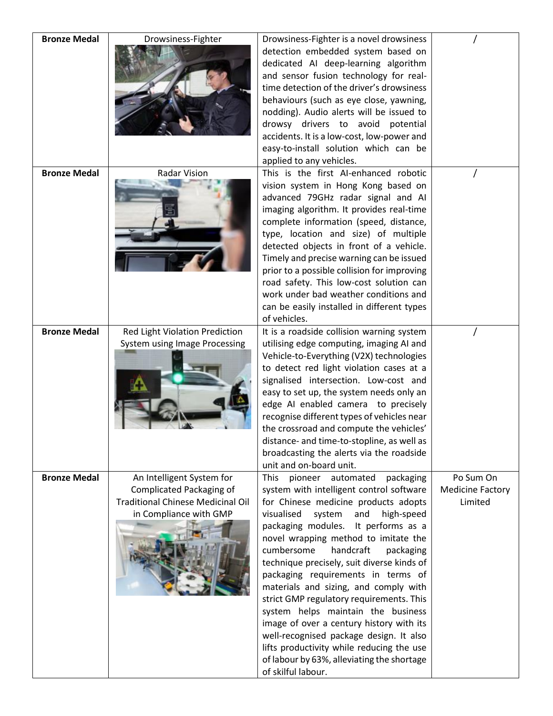| <b>Bronze Medal</b> | Drowsiness-Fighter                                                                                                                 | Drowsiness-Fighter is a novel drowsiness<br>detection embedded system based on<br>dedicated AI deep-learning algorithm<br>and sensor fusion technology for real-<br>time detection of the driver's drowsiness<br>behaviours (such as eye close, yawning,<br>nodding). Audio alerts will be issued to<br>drowsy drivers to avoid potential<br>accidents. It is a low-cost, low-power and<br>easy-to-install solution which can be<br>applied to any vehicles.                                                                                                                                                                                                                                                                    |                                                 |
|---------------------|------------------------------------------------------------------------------------------------------------------------------------|---------------------------------------------------------------------------------------------------------------------------------------------------------------------------------------------------------------------------------------------------------------------------------------------------------------------------------------------------------------------------------------------------------------------------------------------------------------------------------------------------------------------------------------------------------------------------------------------------------------------------------------------------------------------------------------------------------------------------------|-------------------------------------------------|
| <b>Bronze Medal</b> | Radar Vision                                                                                                                       | This is the first AI-enhanced robotic<br>vision system in Hong Kong based on<br>advanced 79GHz radar signal and AI<br>imaging algorithm. It provides real-time<br>complete information (speed, distance,<br>type, location and size) of multiple<br>detected objects in front of a vehicle.<br>Timely and precise warning can be issued<br>prior to a possible collision for improving<br>road safety. This low-cost solution can<br>work under bad weather conditions and<br>can be easily installed in different types<br>of vehicles.                                                                                                                                                                                        |                                                 |
| <b>Bronze Medal</b> | Red Light Violation Prediction<br>System using Image Processing                                                                    | It is a roadside collision warning system<br>utilising edge computing, imaging AI and<br>Vehicle-to-Everything (V2X) technologies<br>to detect red light violation cases at a<br>signalised intersection. Low-cost and<br>easy to set up, the system needs only an<br>edge AI enabled camera to precisely<br>recognise different types of vehicles near<br>the crossroad and compute the vehicles'<br>distance- and time-to-stopline, as well as<br>broadcasting the alerts via the roadside<br>unit and on-board unit.                                                                                                                                                                                                         |                                                 |
| <b>Bronze Medal</b> | An Intelligent System for<br><b>Complicated Packaging of</b><br><b>Traditional Chinese Medicinal Oil</b><br>in Compliance with GMP | <b>This</b><br>pioneer automated<br>packaging<br>system with intelligent control software<br>for Chinese medicine products adopts<br>visualised<br>system<br>and<br>high-speed<br>packaging modules.<br>It performs as a<br>novel wrapping method to imitate the<br>cumbersome<br>handcraft<br>packaging<br>technique precisely, suit diverse kinds of<br>packaging requirements in terms of<br>materials and sizing, and comply with<br>strict GMP regulatory requirements. This<br>system helps maintain the business<br>image of over a century history with its<br>well-recognised package design. It also<br>lifts productivity while reducing the use<br>of labour by 63%, alleviating the shortage<br>of skilful labour. | Po Sum On<br><b>Medicine Factory</b><br>Limited |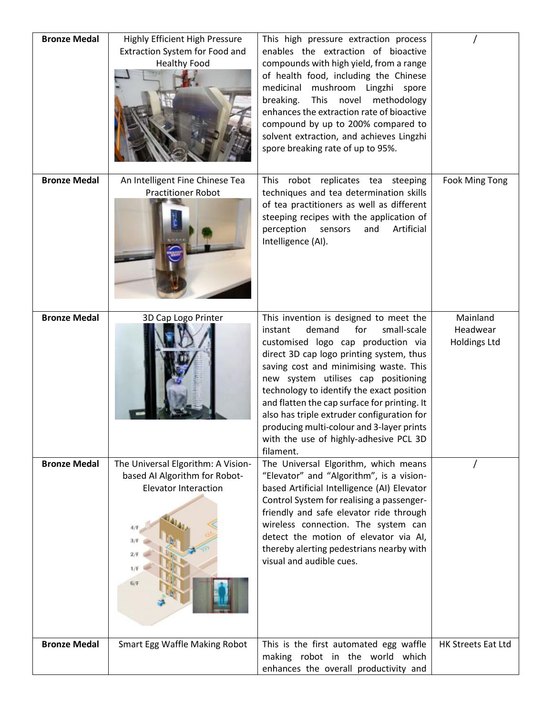| <b>Bronze Medal</b> | Highly Efficient High Pressure<br>Extraction System for Food and<br><b>Healthy Food</b>                                 | This high pressure extraction process<br>enables the extraction of bioactive<br>compounds with high yield, from a range<br>of health food, including the Chinese<br>medicinal<br>mushroom Lingzhi spore<br>breaking.<br>novel<br><b>This</b><br>methodology<br>enhances the extraction rate of bioactive<br>compound by up to 200% compared to<br>solvent extraction, and achieves Lingzhi<br>spore breaking rate of up to 95%.                                                                     |                                             |
|---------------------|-------------------------------------------------------------------------------------------------------------------------|-----------------------------------------------------------------------------------------------------------------------------------------------------------------------------------------------------------------------------------------------------------------------------------------------------------------------------------------------------------------------------------------------------------------------------------------------------------------------------------------------------|---------------------------------------------|
| <b>Bronze Medal</b> | An Intelligent Fine Chinese Tea<br><b>Practitioner Robot</b>                                                            | This robot replicates tea steeping<br>techniques and tea determination skills<br>of tea practitioners as well as different<br>steeping recipes with the application of<br>perception<br>Artificial<br>sensors<br>and<br>Intelligence (AI).                                                                                                                                                                                                                                                          | Fook Ming Tong                              |
| <b>Bronze Medal</b> | 3D Cap Logo Printer                                                                                                     | This invention is designed to meet the<br>small-scale<br>demand<br>for<br>instant<br>customised logo cap production via<br>direct 3D cap logo printing system, thus<br>saving cost and minimising waste. This<br>new system utilises cap positioning<br>technology to identify the exact position<br>and flatten the cap surface for printing. It<br>also has triple extruder configuration for<br>producing multi-colour and 3-layer prints<br>with the use of highly-adhesive PCL 3D<br>filament. | Mainland<br>Headwear<br><b>Holdings Ltd</b> |
| <b>Bronze Medal</b> | The Universal Elgorithm: A Vision-<br>based AI Algorithm for Robot-<br><b>Elevator Interaction</b><br>2/F<br>1/F<br>G/F | The Universal Elgorithm, which means<br>"Elevator" and "Algorithm", is a vision-<br>based Artificial Intelligence (AI) Elevator<br>Control System for realising a passenger-<br>friendly and safe elevator ride through<br>wireless connection. The system can<br>detect the motion of elevator via AI,<br>thereby alerting pedestrians nearby with<br>visual and audible cues.                                                                                                                     |                                             |
| <b>Bronze Medal</b> | Smart Egg Waffle Making Robot                                                                                           | This is the first automated egg waffle<br>making robot in the world which<br>enhances the overall productivity and                                                                                                                                                                                                                                                                                                                                                                                  | HK Streets Eat Ltd                          |